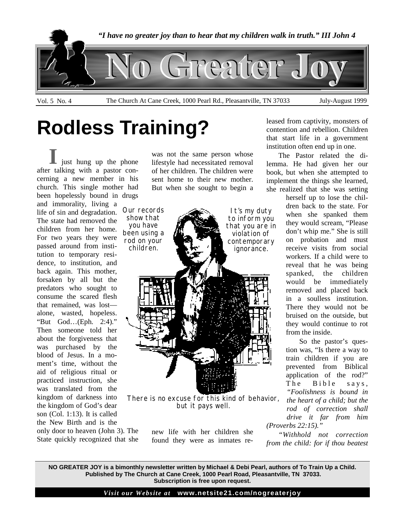

just hung up the phone after talking with a pastor concerning a new member in his church. This single mother had been hopelessly bound in drugs and immorality, living a life of sin and degradation. The state had removed the children from her home. For two years they were passed around from institution to temporary residence, to institution, and back again. This mother, forsaken by all but the predators who sought to consume the scared flesh that remained, was lost alone, wasted, hopeless. "But God…(Eph. 2:4)." Then someone told her about the forgiveness that was purchased by the blood of Jesus. In a moment's time, without the aid of religious ritual or practiced instruction, she was translated from the kingdom of darkness into the kingdom of God's dear son (Col. 1:13). It is called the New Birth and is the

was not the same person whose lifestyle had necessitated removal of her children. The children were sent home to their new mother. But when she sought to begin a



There is no excuse for this kind of behavior, but it pays well.

only door to heaven (John 3). The State quickly recognized that she

new life with her children she found they were as inmates released from captivity, monsters of contention and rebellion. Children that start life in a government institution often end up in one.

The Pastor related the dilemma. He had given her our book, but when she attempted to implement the things she learned, she realized that she was setting

herself up to lose the children back to the state. For when she spanked them they would scream, "Please don't whip me." She is still on probation and must receive visits from social workers. If a child were to reveal that he was being spanked, the children would be immediately removed and placed back in a soulless institution. There they would not be bruised on the outside, but they would continue to rot from the inside.

So the pastor's question was, "Is there a way to train children if you are prevented from Biblical application of the rod?" The Bible says, *"Foolishness is bound in the heart of a child; but the rod of correction shall drive it far from him (Proverbs 22:15)."* 

*"Withhold not correction from the child: for if thou beatest* 

**NO GREATER JOY is a bimonthly newsletter written by Michael & Debi Pearl, authors of To Train Up a Child. Published by The Church at Cane Creek, 1000 Pearl Road, Pleasantville, TN 37033. Subscription is free upon request.**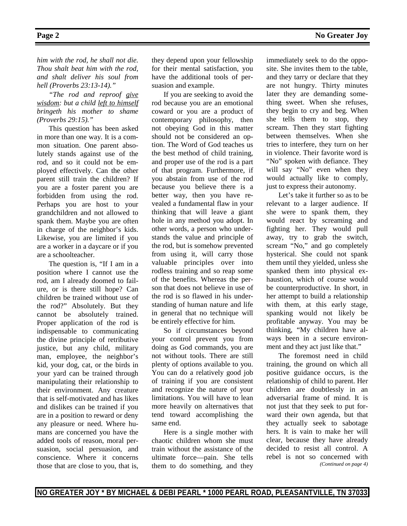*him with the rod, he shall not die. Thou shalt beat him with the rod, and shalt deliver his soul from hell (Proverbs 23:13-14)."* 

*"The rod and reproof give wisdom: but a child left to himself bringeth his mother to shame (Proverbs 29:15)."* 

This question has been asked in more than one way. It is a common situation. One parent absolutely stands against use of the rod, and so it could not be employed effectively. Can the other parent still train the children? If you are a foster parent you are forbidden from using the rod. Perhaps you are host to your grandchildren and not allowed to spank them. Maybe you are often in charge of the neighbor's kids. Likewise, you are limited if you are a worker in a daycare or if you are a schoolteacher.

The question is, "If I am in a position where I cannot use the rod, am I already doomed to failure, or is there still hope? Can children be trained without use of the rod?" Absolutely. But they cannot be absolutely trained. Proper application of the rod is indispensable to communicating the divine principle of retributive justice, but any child, military man, employee, the neighbor's kid, your dog, cat, or the birds in your yard can be trained through manipulating their relationship to their environment. Any creature that is self-motivated and has likes and dislikes can be trained if you are in a position to reward or deny any pleasure or need. Where humans are concerned you have the added tools of reason, moral persuasion, social persuasion, and conscience. Where it concerns those that are close to you, that is,

they depend upon your fellowship for their mental satisfaction, you have the additional tools of persuasion and example.

If you are seeking to avoid the rod because you are an emotional coward or you are a product of contemporary philosophy, then not obeying God in this matter should not be considered an option. The Word of God teaches us the best method of child training, and proper use of the rod is a part of that program. Furthermore, if you abstain from use of the rod because you believe there is a better way, then you have revealed a fundamental flaw in your thinking that will leave a giant hole in any method you adopt. In other words, a person who understands the value and principle of the rod, but is somehow prevented from using it, will carry those valuable principles over into rodless training and so reap some of the benefits. Whereas the person that does not believe in use of the rod is so flawed in his understanding of human nature and life in general that no technique will be entirely effective for him.

So if circumstances beyond your control prevent you from doing as God commands, you are not without tools. There are still plenty of options available to you. You can do a relatively good job of training if you are consistent and recognize the nature of your limitations. You will have to lean more heavily on alternatives that tend toward accomplishing the same end.

Here is a single mother with chaotic children whom she must train without the assistance of the ultimate force—pain. She tells them to do something, and they immediately seek to do the opposite. She invites them to the table, and they tarry or declare that they are not hungry. Thirty minutes later they are demanding something sweet. When she refuses, they begin to cry and beg. When she tells them to stop, they scream. Then they start fighting between themselves. When she tries to interfere, they turn on her in violence. Their favorite word is "No" spoken with defiance. They will say "No" even when they would actually like to comply, just to express their autonomy.

Let's take it further so as to be relevant to a larger audience. If she were to spank them, they would react by screaming and fighting her. They would pull away, try to grab the switch, scream "No," and go completely hysterical. She could not spank them until they yielded, unless she spanked them into physical exhaustion, which of course would be counterproductive. In short, in her attempt to build a relationship with them, at this early stage, spanking would not likely be profitable anyway. You may be thinking, "My children have always been in a secure environment and they act just like that."

The foremost need in child training, the ground on which all positive guidance occurs, is the relationship of child to parent. Her children are doubtlessly in an adversarial frame of mind. It is not just that they seek to put forward their own agenda, but that they actually seek to sabotage hers. It is vain to make her will clear, because they have already decided to resist all control. A rebel is not so concerned with *(Continued on page 4)*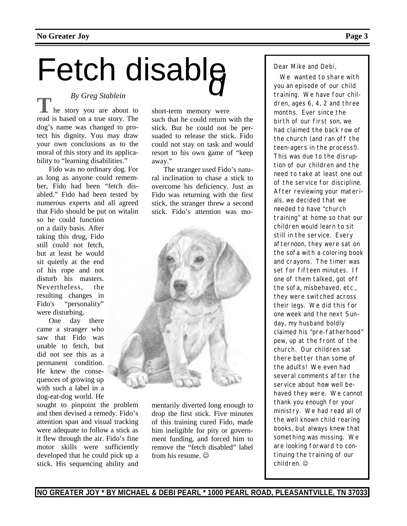# Fetch disable *By Greg Stablein* d

**The stable Stable Stable in**<br>the story you are about to

read is based on a true story. The dog's name was changed to protect his dignity. You may draw your own conclusions as to the moral of this story and its applicability to "learning disabilities."

Fido was no ordinary dog. For as long as anyone could remember, Fido had been "fetch disabled." Fido had been tested by numerous experts and all agreed that Fido should be put on witalin

so he could function on a daily basis. After taking this drug, Fido still could not fetch, but at least he would sit quietly at the end of his rope and not disturb his masters. Nevertheless, the resulting changes in Fido's "personality" were disturbing.

One day there came a stranger who saw that Fido was unable to fetch, but did not see this as a permanent condition. He knew the consequences of growing up with such a label in a dog-eat-dog world. He

sought to pinpoint the problem and then devised a remedy. Fido's attention span and visual tracking were adequate to follow a stick as it flew through the air. Fido's fine motor skills were sufficiently developed that he could pick up a stick. His sequencing ability and short-term memory were such that he could return with the stick. But he could not be persuaded to release the stick. Fido could not stay on task and would resort to his own game of "keep away."

The stranger used Fido's natural inclination to chase a stick to overcome his deficiency. Just as Fido was returning with the first stick, the stranger threw a second stick. Fido's attention was mo-



mentarily diverted long enough to drop the first stick. Five minutes of this training cured Fido, made him ineligible for pity or government funding, and forced him to remove the "fetch disabled" label from his resume.  $\odot$ 

Dear Mike and Debi,

 We wanted to share with you an episode of our child training. We have four children, ages 6, 4, 2 and three months. Ever since the birth of our first son, we had claimed the back row of the church (and ran off the teen-agers in the process!). This was due to the disruption of our children and the need to take at least one out of the service for discipline. After reviewing your materials, we decided that we needed to have "church training" at home so that our children would learn to sit still in the service. Every afternoon, they were sat on the sofa with a coloring book and crayons. The timer was set for fifteen minutes. If one of them talked, got off the sofa, misbehaved, etc., they were switched across their legs. We did this for one week and the next Sunday, my husband boldly claimed his "pre-fatherhood" pew, up at the front of the church. Our children sat there better than some of the adults! We even had several comments after the service about how well behaved they were. We cannot thank you enough for your ministry. We had read all of the well known child rearing books, but always knew that something was missing. We are looking forward to continuing the training of our children. @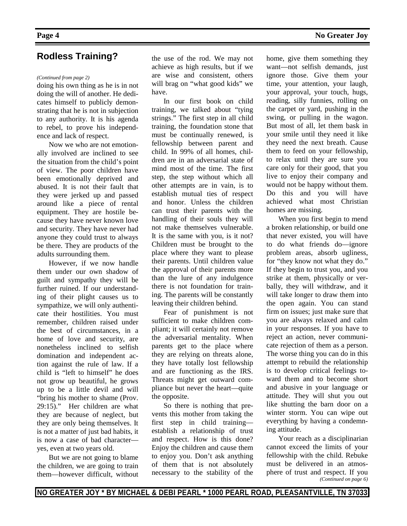### *(Continued from page 2)*

doing his own thing as he is in not doing the will of another. He dedicates himself to publicly demonstrating that he is not in subjection to any authority. It is his agenda to rebel, to prove his independence and lack of respect.

Now we who are not emotionally involved are inclined to see the situation from the child's point of view. The poor children have been emotionally deprived and abused. It is not their fault that they were jerked up and passed around like a piece of rental equipment. They are hostile because they have never known love and security. They have never had anyone they could trust to always be there. They are products of the adults surrounding them.

However, if we now handle them under our own shadow of guilt and sympathy they will be further ruined. If our understanding of their plight causes us to sympathize, we will only authenticate their hostilities. You must remember, children raised under the best of circumstances, in a home of love and security, are nonetheless inclined to selfish domination and independent action against the rule of law. If a child is "left to himself" he does not grow up beautiful, he grows up to be a little devil and will "bring his mother to shame (Prov. 29:15)." Her children are what they are because of neglect, but they are only being themselves. It is not a matter of just bad habits, it is now a case of bad character yes, even at two years old.

But we are not going to blame the children, we are going to train them—however difficult, without

the use of the rod. We may not achieve as high results, but if we are wise and consistent, others will brag on "what good kids" we have.

In our first book on child training, we talked about "tying strings." The first step in all child training, the foundation stone that must be continually renewed, is fellowship between parent and child. In 99% of all homes, children are in an adversarial state of mind most of the time. The first step, the step without which all other attempts are in vain, is to establish mutual ties of respect and honor. Unless the children can trust their parents with the handling of their souls they will not make themselves vulnerable. It is the same with you, is it not? Children must be brought to the place where they want to please their parents. Until children value the approval of their parents more than the lure of any indulgence there is not foundation for training. The parents will be constantly leaving their children behind.

Fear of punishment is not sufficient to make children compliant; it will certainly not remove the adversarial mentality. When parents get to the place where they are relying on threats alone, they have totally lost fellowship and are functioning as the IRS. Threats might get outward compliance but never the heart—quite the opposite.

So there is nothing that prevents this mother from taking the first step in child training establish a relationship of trust and respect. How is this done? Enjoy the children and cause them to enjoy you. Don't ask anything of them that is not absolutely necessary to the stability of the

home, give them something they want—not selfish demands, just ignore those. Give them your time, your attention, your laugh, your approval, your touch, hugs, reading, silly funnies, rolling on the carpet or yard, pushing in the swing, or pulling in the wagon. But most of all, let them bask in your smile until they need it like they need the next breath. Cause them to feed on your fellowship, to relax until they are sure you care only for their good, that you live to enjoy their company and would not be happy without them. Do this and you will have achieved what most Christian homes are missing.

When you first begin to mend a broken relationship, or build one that never existed, you will have to do what friends do—ignore problem areas, absorb ugliness, for "they know not what they do." If they begin to trust you, and you strike at them, physically or verbally, they will withdraw, and it will take longer to draw them into the open again. You can stand firm on issues; just make sure that you are always relaxed and calm in your responses. If you have to reject an action, never communicate rejection of them as a person. The worse thing you can do in this attempt to rebuild the relationship is to develop critical feelings toward them and to become short and abusive in your language or attitude. They will shut you out like shutting the barn door on a winter storm. You can wipe out everything by having a condemning attitude.

Your reach as a disciplinarian cannot exceed the limits of your fellowship with the child. Rebuke must be delivered in an atmosphere of trust and respect. If you *(Continued on page 6)*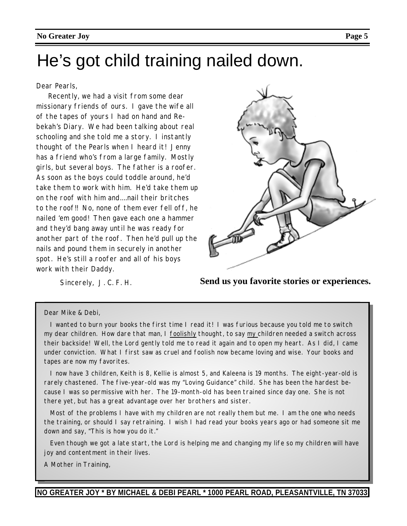## **No Greater Joy Page 5**

# He's got child training nailed down.

Dear Pearls,

 Recently, we had a visit from some dear missionary friends of ours. I gave the wife all of the tapes of yours I had on hand and Rebekah's Diary. We had been talking about real schooling and she told me a story. I instantly thought of the Pearls when I heard it! Jenny has a friend who's from a large family. Mostly girls, but several boys. The father is a roofer. As soon as the boys could toddle around, he'd take them to work with him. He'd take them up on the roof with him and....nail their britches to the roof!! No, none of them ever fell off, he nailed 'em good! Then gave each one a hammer and they'd bang away until he was ready for another part of the roof. Then he'd pull up the nails and pound them in securely in another spot. He's still a roofer and all of his boys work with their Daddy.



Sincerely, J. C. F. H. **Send us you favorite stories or experiences.** 

Dear Mike & Debi,

 I wanted to burn your books the first time I read it! I was furious because you told me to switch my dear children. How dare that man, I foolishly thought, to say my children needed a switch across their backside! Well, the Lord gently told me to read it again and to open my heart. As I did, I came under conviction. What I first saw as cruel and foolish now became loving and wise. Your books and tapes are now my favorites.

 I now have 3 children, Keith is 8, Kellie is almost 5, and Kaleena is 19 months. The eight-year-old is rarely chastened. The five-year-old was my "Loving Guidance" child. She has been the hardest because I was so permissive with her. The 19-month-old has been trained since day one. She is not there yet, but has a great advantage over her brothers and sister.

 Most of the problems I have with my children are not really them but me. I am the one who needs the training, or should I say retraining. I wish I had read your books years ago or had someone sit me down and say, "This is how you do it."

 Even though we got a late start, the Lord is helping me and changing my life so my children will have joy and contentment in their lives.

A Mother in Training,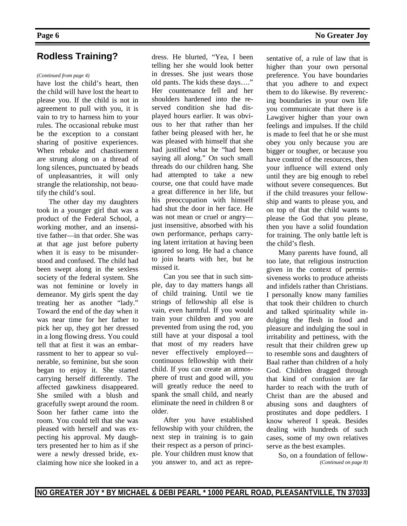### *(Continued from page 4)*

have lost the child's heart, then the child will have lost the heart to please you. If the child is not in agreement to pull with you, it is vain to try to harness him to your rules. The occasional rebuke must be the exception to a constant sharing of positive experiences. When rebuke and chastisement are strung along on a thread of long silences, punctuated by beads of unpleasantries, it will only strangle the relationship, not beautify the child's soul.

The other day my daughters took in a younger girl that was a product of the Federal School, a working mother, and an insensitive father—in that order. She was at that age just before puberty when it is easy to be misunderstood and confused. The child had been swept along in the sexless society of the federal system. She was not feminine or lovely in demeanor. My girls spent the day treating her as another "lady." Toward the end of the day when it was near time for her father to pick her up, they got her dressed in a long flowing dress. You could tell that at first it was an embarrassment to her to appear so vulnerable, so feminine, but she soon began to enjoy it. She started carrying herself differently. The affected gawkiness disappeared. She smiled with a blush and gracefully swept around the room. Soon her father came into the room. You could tell that she was pleased with herself and was expecting his approval. My daughters presented her to him as if she were a newly dressed bride, exclaiming how nice she looked in a

dress. He blurted, "Yea, I been telling her she would look better in dresses. She just wears those old pants. The kids these days…." Her countenance fell and her shoulders hardened into the reserved condition she had displayed hours earlier. It was obvious to her that rather than her father being pleased with her, he was pleased with himself that she had justified what he "had been saying all along." On such small threads do our children hang. She had attempted to take a new course, one that could have made a great difference in her life, but his preoccupation with himself had shut the door in her face. He was not mean or cruel or angry just insensitive, absorbed with his own performance, perhaps carrying latent irritation at having been ignored so long. He had a chance to join hearts with her, but he missed it.

Can you see that in such simple, day to day matters hangs all of child training. Until we tie strings of fellowship all else is vain, even harmful. If you would train your children and you are prevented from using the rod, you still have at your disposal a tool that most of my readers have never effectively employed continuous fellowship with their child. If you can create an atmosphere of trust and good will, you will greatly reduce the need to spank the small child, and nearly eliminate the need in children 8 or older.

After you have established fellowship with your children, the next step in training is to gain their respect as a person of principle. Your children must know that you answer to, and act as repre-

sentative of, a rule of law that is higher than your own personal preference. You have boundaries that you adhere to and expect them to do likewise. By reverencing boundaries in your own life you communicate that there is a Lawgiver higher than your own feelings and impulses. If the child is made to feel that he or she must obey you only because you are bigger or tougher, or because you have control of the resources, then your influence will extend only until they are big enough to rebel without severe consequences. But if the child treasures your fellowship and wants to please you, and on top of that the child wants to please the God that you please, then you have a solid foundation for training. The only battle left is the child's flesh.

Many parents have found, all too late, that religious instruction given in the context of permissiveness works to produce atheists and infidels rather than Christians. I personally know many families that took their children to church and talked spirituality while indulging the flesh in food and pleasure and indulging the soul in irritability and pettiness, with the result that their children grew up to resemble sons and daughters of Baal rather than children of a holy God. Children dragged through that kind of confusion are far harder to reach with the truth of Christ than are the abused and abusing sons and daughters of prostitutes and dope peddlers. I know whereof I speak. Besides dealing with hundreds of such cases, some of my own relatives serve as the best examples.

> So, on a foundation of fellow- *(Continued on page 8)*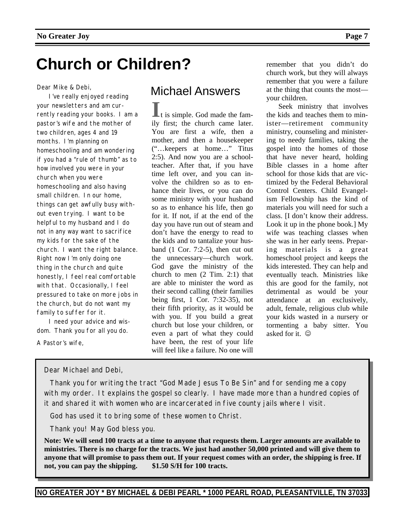church work, but they will always remember that you were a failure at the thing that counts the most your children. Seek ministry that involves

remember that you didn't do

the kids and teaches them to minister—retirement community ministry, counseling and ministering to needy families, taking the gospel into the homes of those that have never heard, holding Bible classes in a home after school for those kids that are victimized by the Federal Behavioral Control Centers. Child Evangelism Fellowship has the kind of materials you will need for such a class. [I don't know their address. Look it up in the phone book.] My wife was teaching classes when she was in her early teens. Preparing materials is a great homeschool project and keeps the kids interested. They can help and eventually teach. Ministries like this are good for the family, not detrimental as would be your attendance at an exclusively, adult, female, religious club while your kids wasted in a nursery or tormenting a baby sitter. You asked for it.  $\odot$ 

# **Church or Children?**

Dear Mike & Debi,

 I've really enjoyed reading your newsletters and am currently reading your books. I am a pastor's wife and the mother of two children, ages 4 and 19 months. I'm planning on homeschooling and am wondering if you had a "rule of thumb" as to how involved you were in your church when you were homeschooling and also having small children. In our home, things can get awfully busy without even trying. I want to be helpful to my husband and I do not in any way want to sacrifice my kids for the sake of the church. I want the right balance. Right now I'm only doing one thing in the church and quite honestly, I feel real comfortable with that. Occasionally, I feel pressured to take on more jobs in the church, but do not want my family to suffer for it.

 I need your advice and wisdom. Thank you for all you do.

Dear Michael and Debi,

A Pastor's wife,

# Michael Answers

**I**t is simple. God made the family first; the church came later. You are first a wife, then a mother, and then a housekeeper ("…keepers at home…" Titus 2:5). And now you are a schoolteacher. After that, if you have time left over, and you can involve the children so as to enhance their lives, or you can do some ministry with your husband so as to enhance his life, then go for it. If not, if at the end of the day you have run out of steam and don't have the energy to read to the kids and to tantalize your husband  $(1 \text{Cor. } 7:2-5)$ , then cut out the unnecessary—church work. God gave the ministry of the church to men  $(2$  Tim.  $2:1)$  that are able to minister the word as their second calling (their families being first, 1 Cor. 7:32-35), not their fifth priority, as it would be with you. If you build a great church but lose your children, or even a part of what they could have been, the rest of your life will feel like a failure. No one will

 Thank you for writing the tract "God Made Jesus To Be Sin" and for sending me a copy with my order. It explains the gospel so clearly. I have made more than a hundred copies of it and shared it with women who are incarcerated in five county jails where I visit.

God has used it to bring some of these women to Christ.

Thank you! May God bless you.

**Note: We will send 100 tracts at a time to anyone that requests them. Larger amounts are available to ministries. There is no charge for the tracts. We just had another 50,000 printed and will give them to anyone that will promise to pass them out. If your request comes with an order, the shipping is free. If not, you can pay the shipping. \$1.50 S/H for 100 tracts.**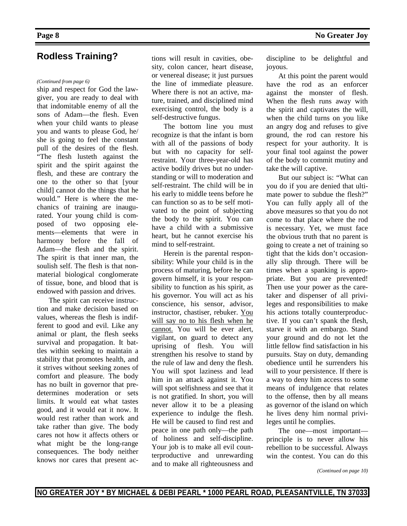### *(Continued from page 6)*

ship and respect for God the lawgiver, you are ready to deal with that indomitable enemy of all the sons of Adam—the flesh. Even when your child wants to please you and wants to please God, he/ she is going to feel the constant pull of the desires of the flesh. "The flesh lusteth against the spirit and the spirit against the flesh, and these are contrary the one to the other so that [your child] cannot do the things that he would." Here is where the mechanics of training are inaugurated. Your young child is composed of two opposing elements—elements that were in harmony before the fall of Adam—the flesh and the spirit. The spirit is that inner man, the soulish self. The flesh is that nonmaterial biological conglomerate of tissue, bone, and blood that is endowed with passion and drives.

The spirit can receive instruction and make decision based on values, whereas the flesh is indifferent to good and evil. Like any animal or plant, the flesh seeks survival and propagation. It battles within seeking to maintain a stability that promotes health, and it strives without seeking zones of comfort and pleasure. The body has no built in governor that predetermines moderation or sets limits. It would eat what tastes good, and it would eat it now. It would rest rather than work and take rather than give. The body cares not how it affects others or what might be the long-range consequences. The body neither knows nor cares that present actions will result in cavities, obesity, colon cancer, heart disease, or venereal disease; it just pursues the line of immediate pleasure. Where there is not an active, mature, trained, and disciplined mind exercising control, the body is a self-destructive fungus.

The bottom line you must recognize is that the infant is born with all of the passions of body but with no capacity for selfrestraint. Your three-year-old has active bodily drives but no understanding or will to moderation and self-restraint. The child will be in his early to middle teens before he can function so as to be self motivated to the point of subjecting the body to the spirit. You can have a child with a submissive heart, but he cannot exercise his mind to self-restraint.

Herein is the parental responsibility: While your child is in the process of maturing, before he can govern himself, it is your responsibility to function as his spirit, as his governor. You will act as his conscience, his sensor, advisor, instructor, chastiser, rebuker. You will say no to his flesh when he cannot. You will be ever alert, vigilant, on guard to detect any uprising of flesh. You will strengthen his resolve to stand by the rule of law and deny the flesh. You will spot laziness and lead him in an attack against it. You will spot selfishness and see that it is not gratified. In short, you will never allow it to be a pleasing experience to indulge the flesh. He will be caused to find rest and peace in one path only—the path of holiness and self-discipline. Your job is to make all evil counterproductive and unrewarding and to make all righteousness and

discipline to be delightful and joyous.

At this point the parent would have the rod as an enforcer against the monster of flesh. When the flesh runs away with the spirit and captivates the will, when the child turns on you like an angry dog and refuses to give ground, the rod can restore his respect for your authority. It is your final tool against the power of the body to commit mutiny and take the will captive.

But our subject is: "What can you do if you are denied that ultimate power to subdue the flesh?" You can fully apply all of the above measures so that you do not come to that place where the rod is necessary. Yet, we must face the obvious truth that no parent is going to create a net of training so tight that the kids don't occasionally slip through. There will be times when a spanking is appropriate. But you are prevented! Then use your power as the caretaker and dispenser of all privileges and responsibilities to make his actions totally counterproductive. If you can't spank the flesh, starve it with an embargo. Stand your ground and do not let the little fellow find satisfaction in his pursuits. Stay on duty, demanding obedience until he surrenders his will to your persistence. If there is a way to deny him access to some means of indulgence that relates to the offense, then by all means as governor of the island on which he lives deny him normal privileges until he complies.

The one—most important principle is to never allow his rebellion to be successful. Always win the contest. You can do this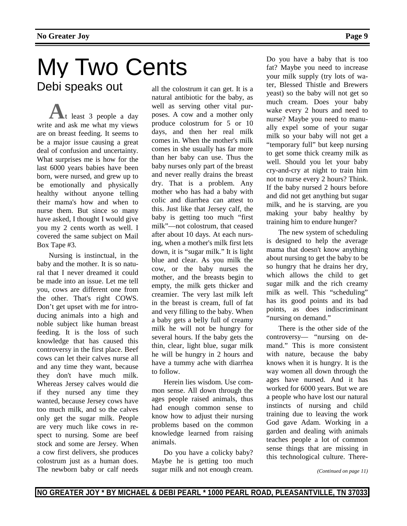# My Two Cents Debi speaks out

**A**t least 3 people a day write and ask me what my views are on breast feeding. It seems to be a major issue causing a great deal of confusion and uncertainty. What surprises me is how for the last 6000 years babies have been born, were nursed, and grew up to be emotionally and physically healthy without anyone telling their mama's how and when to nurse them. But since so many have asked, I thought I would give you my 2 cents worth as well. I covered the same subject on Mail Box Tape #3.

Nursing is instinctual, in the baby and the mother. It is so natural that I never dreamed it could be made into an issue. Let me tell you, cows are different one from the other. That's right COWS. Don't get upset with me for introducing animals into a high and noble subject like human breast feeding. It is the loss of such knowledge that has caused this controversy in the first place. Beef cows can let their calves nurse all and any time they want, because they don't have much milk. Whereas Jersey calves would die if they nursed any time they wanted, because Jersey cows have too much milk, and so the calves only get the sugar milk. People are very much like cows in respect to nursing. Some are beef stock and some are Jersey. When a cow first delivers, she produces colostrum just as a human does. The newborn baby or calf needs all the colostrum it can get. It is a natural antibiotic for the baby, as well as serving other vital purposes. A cow and a mother only produce colostrum for 5 or 10 days, and then her real milk comes in. When the mother's milk comes in she usually has far more than her baby can use. Thus the baby nurses only part of the breast and never really drains the breast dry. That is a problem. Any mother who has had a baby with colic and diarrhea can attest to this. Just like that Jersey calf, the baby is getting too much "first milk"—not colostrum, that ceased after about 10 days. At each nursing, when a mother's milk first lets down, it is "sugar milk." It is light blue and clear. As you milk the cow, or the baby nurses the mother, and the breasts begin to empty, the milk gets thicker and creamier. The very last milk left in the breast is cream, full of fat and very filling to the baby. When a baby gets a belly full of creamy milk he will not be hungry for several hours. If the baby gets the thin, clear, light blue, sugar milk he will be hungry in 2 hours and have a tummy ache with diarrhea to follow.

Herein lies wisdom. Use common sense. All down through the ages people raised animals, thus had enough common sense to know how to adjust their nursing problems based on the common knowledge learned from raising animals.

Do you have a colicky baby? Maybe he is getting too much sugar milk and not enough cream.

Do you have a baby that is too fat? Maybe you need to increase your milk supply (try lots of water, Blessed Thistle and Brewers yeast) so the baby will not get so much cream. Does your baby wake every 2 hours and need to nurse? Maybe you need to manually expel some of your sugar milk so your baby will not get a "temporary full" but keep nursing to get some thick creamy milk as well. Should you let your baby cry-and-cry at night to train him not to nurse every 2 hours? Think. If the baby nursed 2 hours before and did not get anything but sugar milk, and he is starving, are you making your baby healthy by training him to endure hunger?

The new system of scheduling is designed to help the average mama that doesn't know anything about nursing to get the baby to be so hungry that he drains her dry, which allows the child to get sugar milk and the rich creamy milk as well. This "scheduling" has its good points and its bad points, as does indiscriminant "nursing on demand."

There is the other side of the controversy— "nursing on demand." This is more consistent with nature, because the baby knows when it is hungry. It is the way women all down through the ages have nursed. And it has worked for 6000 years. But we are a people who have lost our natural instincts of nursing and child training due to leaving the work God gave Adam. Working in a garden and dealing with animals teaches people a lot of common sense things that are missing in this technological culture. There-

*(Continued on page 11)*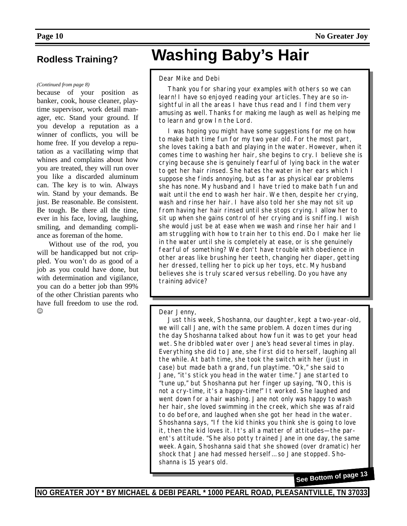### *(Continued from page 8)*

because of your position as banker, cook, house cleaner, playtime supervisor, work detail manager, etc. Stand your ground. If you develop a reputation as a winner of conflicts, you will be home free. If you develop a reputation as a vacillating wimp that whines and complains about how you are treated, they will run over you like a discarded aluminum can. The key is to win. Always win. Stand by your demands. Be just. Be reasonable. Be consistent. Be tough. Be there all the time, ever in his face, loving, laughing, smiling, and demanding compliance as foreman of the home.

Without use of the rod, you will be handicapped but not crippled. You won't do as good of a job as you could have done, but with determination and vigilance, you can do a better job than 99% of the other Christian parents who have full freedom to use the rod.  $\odot$ 

# **Washing Baby's Hair**

Dear Mike and Debi

Thank you for sharing your examples with others so we can learn! I have so enjoyed reading your articles. They are so insightful in all the areas I have thus read and I find them very amusing as well. Thanks for making me laugh as well as helping me to learn and grow In the Lord.

I was hoping you might have some suggestions for me on how to make bath time fun for my two year old. For the most part, she loves taking a bath and playing in the water. However, when it comes time to washing her hair, she begins to cry. I believe she is crying because she is genuinely fearful of lying back in the water to get her hair rinsed. She hates the water in her ears which I suppose she finds annoying, but as far as physical ear problems she has none. My husband and I have tried to make bath fun and wait until the end to wash her hair. We then, despite her crying, wash and rinse her hair. I have also told her she may not sit up from having her hair rinsed until she stops crying. I allow her to sit up when she gains control of her crying and is sniffing. I wish she would just be at ease when we wash and rinse her hair and I am struggling with how to train her to this end. Do I make her lie in the water until she is completely at ease, or is she genuinely fearful of something? We don't have trouble with obedience in other areas like brushing her teeth, changing her diaper, getting her dressed, telling her to pick up her toys, etc. My husband believes she is truly scared versus rebelling. Do you have any training advice?

### Dear Jenny,

Just this week, Shoshanna, our daughter, kept a two-year-old, we will call Jane, with the same problem. A dozen times during the day Shoshanna talked about how fun it was to get your head wet. She dribbled water over Jane's head several times in play. Everything she did to Jane, she first did to herself, laughing all the while. At bath time, she took the switch with her (just in case) but made bath a grand, fun playtime. "Ok," she said to Jane, "it's stick you head in the water time." Jane started to "tune up," but Shoshanna put her finger up saying, "NO, this is not a cry-time, it's a happy-time!" It worked. She laughed and went down for a hair washing. Jane not only was happy to wash her hair, she loved swimming in the creek, which she was afraid to do before, and laughed when she got her head in the water. Shoshanna says, "If the kid thinks you think she is going to love it, then the kid loves it. It's all a matter of attitudes—the parent's attitude. "She also potty trained Jane in one day, the same week. Again, Shoshanna said that she showed (over dramatic) her shock that Jane had messed herself… so Jane stopped. Shoshanna is 15 years old.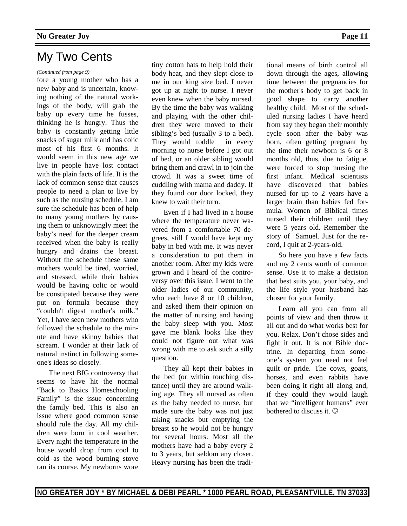## **No Greater Joy Page 11**

# My Two Cents

### *(Continued from page 9)*

fore a young mother who has a new baby and is uncertain, knowing nothing of the natural workings of the body, will grab the baby up every time he fusses, thinking he is hungry. Thus the baby is constantly getting little snacks of sugar milk and has colic most of his first 6 months. It would seem in this new age we live in people have lost contact with the plain facts of life. It is the lack of common sense that causes people to need a plan to live by such as the nursing schedule. I am sure the schedule has been of help to many young mothers by causing them to unknowingly meet the baby's need for the deeper cream received when the baby is really hungry and drains the breast. Without the schedule these same mothers would be tired, worried, and stressed, while their babies would be having colic or would be constipated because they were put on formula because they "couldn't digest mother's milk." Yet, I have seen new mothers who followed the schedule to the minute and have skinny babies that scream. I wonder at their lack of natural instinct in following someone's ideas so closely.

The next BIG controversy that seems to have hit the normal "Back to Basics Homeschooling Family" is the issue concerning the family bed. This is also an issue where good common sense should rule the day. All my children were born in cool weather. Every night the temperature in the house would drop from cool to cold as the wood burning stove ran its course. My newborns wore tiny cotton hats to help hold their body heat, and they slept close to me in our king size bed. I never got up at night to nurse. I never even knew when the baby nursed. By the time the baby was walking and playing with the other children they were moved to their sibling's bed (usually 3 to a bed). They would toddle in every morning to nurse before I got out of bed, or an older sibling would bring them and crawl in to join the crowd. It was a sweet time of cuddling with mama and daddy. If they found our door locked, they knew to wait their turn.

Even if I had lived in a house where the temperature never wavered from a comfortable 70 degrees, still I would have kept my baby in bed with me. It was never a consideration to put them in another room. After my kids were grown and I heard of the controversy over this issue, I went to the older ladies of our community, who each have 8 or 10 children. and asked them their opinion on the matter of nursing and having the baby sleep with you. Most gave me blank looks like they could not figure out what was wrong with me to ask such a silly question.

They all kept their babies in the bed (or within touching distance) until they are around walking age. They all nursed as often as the baby needed to nurse, but made sure the baby was not just taking snacks but emptying the breast so he would not be hungry for several hours. Most all the mothers have had a baby every 2 to 3 years, but seldom any closer. Heavy nursing has been the tradi-

tional means of birth control all down through the ages, allowing time between the pregnancies for the mother's body to get back in good shape to carry another healthy child. Most of the scheduled nursing ladies I have heard from say they began their monthly cycle soon after the baby was born, often getting pregnant by the time their newborn is 6 or 8 months old, thus, due to fatigue, were forced to stop nursing the first infant. Medical scientists have discovered that babies nursed for up to 2 years have a larger brain than babies fed formula. Women of Biblical times nursed their children until they were 5 years old. Remember the story of Samuel. Just for the record, I quit at 2-years-old.

So here you have a few facts and my 2 cents worth of common sense. Use it to make a decision that best suits you, your baby, and the life style your husband has chosen for your family.

Learn all you can from all points of view and then throw it all out and do what works best for you. Relax. Don't chose sides and fight it out. It is not Bible doctrine. In departing from someone's system you need not feel guilt or pride. The cows, goats, horses, and even rabbits have been doing it right all along and, if they could they would laugh that we "intelligent humans" ever bothered to discuss it.  $\odot$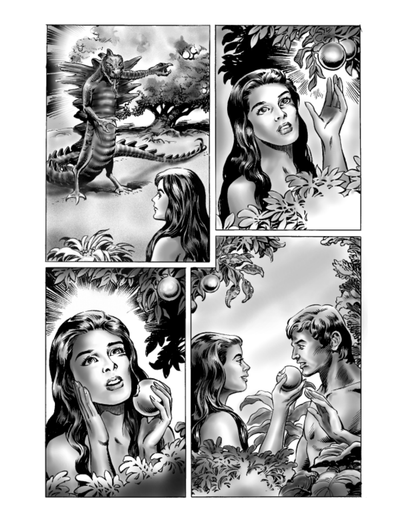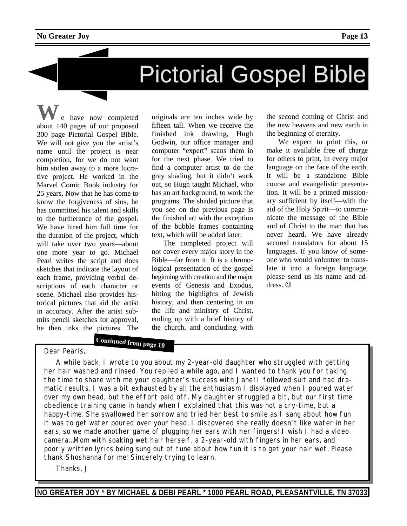# Pictorial Gospel Bible

**W**e have now completed about 140 pages of our proposed 300 page Pictorial Gospel Bible. We will not give you the artist's name until the project is near completion, for we do not want him stolen away to a more lucrative project. He worked in the Marvel Comic Book industry for 25 years. Now that he has come to know the forgiveness of sins, he has committed his talent and skills to the furtherance of the gospel. We have hired him full time for the duration of the project, which will take over two years—about one more year to go. Michael Pearl writes the script and does sketches that indicate the layout of each frame, providing verbal descriptions of each character or scene. Michael also provides historical pictures that aid the artist in accuracy. After the artist submits pencil sketches for approval, he then inks the pictures. The

originals are ten inches wide by fifteen tall. When we receive the finished ink drawing, Hugh Godwin, our office manager and computer "expert" scans them in for the next phase. We tried to find a computer artist to do the gray shading, but it didn't work out, so Hugh taught Michael, who has an art background, to work the programs. The shaded picture that you see on the previous page is the finished art with the exception of the bubble frames containing text, which will be added later.

The completed project will not cover every major story in the Bible—far from it. It is a chronological presentation of the gospel beginning with creation and the major events of Genesis and Exodus, hitting the highlights of Jewish history, and then centering in on the life and ministry of Christ, ending up with a brief history of the church, and concluding with

the second coming of Christ and the new heavens and new earth in the beginning of eternity.

We expect to print this, or make it available free of charge for others to print, in every major language on the face of the earth. It will be a standalone Bible course and evangelistic presentation. It will be a printed missionary sufficient by itself—with the aid of the Holy Spirit—to communicate the message of the Bible and of Christ to the man that has never heard. We have already secured translators for about 15 languages. If you know of someone who would volunteer to translate it into a foreign language, please send us his name and address.  $\odot$ 

# **Continued from page <sup>10</sup>**

## Dear Pearls,

A while back, I wrote to you about my 2-year-old daughter who struggled with getting her hair washed and rinsed. You replied a while ago, and I wanted to thank you for taking the time to share with me your daughter's success with Jane! I followed suit and had dramatic results. I was a bit exhausted by all the enthusiasm I displayed when I poured water over my own head, but the effort paid off. My daughter struggled a bit, but our first time obedience training came in handy when I explained that this was not a cry-time, but a happy-time. She swallowed her sorrow and tried her best to smile as I sang about how fun it was to get water poured over your head. I discovered she really doesn't like water in her ears, so we made another game of plugging her ears with her fingers! I wish I had a video camera…Mom with soaking wet hair herself, a 2-year-old with fingers in her ears, and poorly written lyrics being sung out of tune about how fun it is to get your hair wet. Please thank Shoshanna for me! Sincerely trying to learn.

Thanks, J